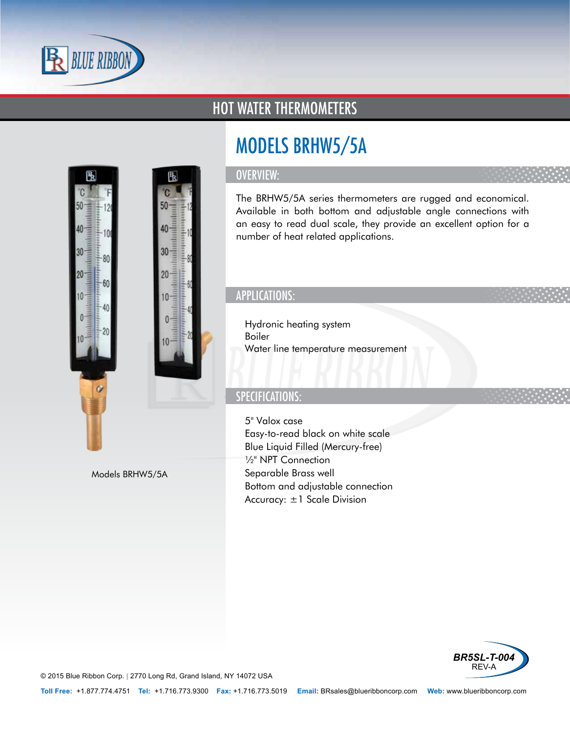

30

 $\mathbf{0}$ 

 $80$ 

-60

40

### HOT WATER THERMOMETERS

# MODELS BRHW5/5A

#### OVERVIEW:

限

50

40

30

20

10

킄

 $0 \equiv$ 

The BRHW5/5A series thermometers are rugged and economical. Available in both bottom and adjustable angle connections with an easy to read dual scale, they provide an excellent option for a number of heat related applications.

### APPLICATIONS:

- Hydronic heating system
- Boiler
- Water line temperature measurement

#### SPECIFICATIONS:

- 5" Valox case
- Easy-to-read black on white scale
- Blue Liquid Filled (Mercury-free)
- ½" NPT Connection
- Separable Brass well
- Bottom and adjustable connection
- Accuracy: ±1 Scale Division



© 2015 Blue Ribbon Corp. *<sup>|</sup>* 2770 Long Rd, Grand Island, NY 14072 USA

Models BRHW5/5A